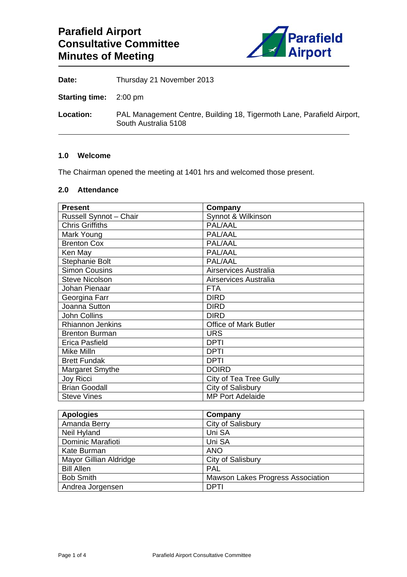

**Date:** Thursday 21 November 2013

**Starting time:** 2:00 pm

**Location:** PAL Management Centre, Building 18, Tigermoth Lane, Parafield Airport, South Australia 5108

### **1.0 Welcome**

The Chairman opened the meeting at 1401 hrs and welcomed those present.

### **2.0 Attendance**

| <b>Present</b>          | Company                      |
|-------------------------|------------------------------|
| Russell Synnot - Chair  | Synnot & Wilkinson           |
| <b>Chris Griffiths</b>  | PAL/AAL                      |
| Mark Young              | PAL/AAL                      |
| <b>Brenton Cox</b>      | PAL/AAL                      |
| Ken May                 | PAL/AAL                      |
| <b>Stephanie Bolt</b>   | PAL/AAL                      |
| <b>Simon Cousins</b>    | Airservices Australia        |
| <b>Steve Nicolson</b>   | Airservices Australia        |
| Johan Pienaar           | <b>FTA</b>                   |
| Georgina Farr           | <b>DIRD</b>                  |
| Joanna Sutton           | <b>DIRD</b>                  |
| John Collins            | <b>DIRD</b>                  |
| <b>Rhiannon Jenkins</b> | <b>Office of Mark Butler</b> |
| <b>Brenton Burman</b>   | <b>URS</b>                   |
| Erica Pasfield          | <b>DPTI</b>                  |
| Mike Milln              | <b>DPTI</b>                  |
| <b>Brett Fundak</b>     | DPTI                         |
| Margaret Smythe         | <b>DOIRD</b>                 |
| Joy Ricci               | City of Tea Tree Gully       |
| <b>Brian Goodall</b>    | City of Salisbury            |
| <b>Steve Vines</b>      | <b>MP Port Adelaide</b>      |

| <b>Apologies</b>       | Company                                  |
|------------------------|------------------------------------------|
| Amanda Berry           | City of Salisbury                        |
| Neil Hyland            | Uni SA                                   |
| Dominic Marafioti      | Uni SA                                   |
| Kate Burman            | <b>ANO</b>                               |
| Mayor Gillian Aldridge | City of Salisbury                        |
| <b>Bill Allen</b>      | <b>PAL</b>                               |
| <b>Bob Smith</b>       | <b>Mawson Lakes Progress Association</b> |
| Andrea Jorgensen       | <b>DPTI</b>                              |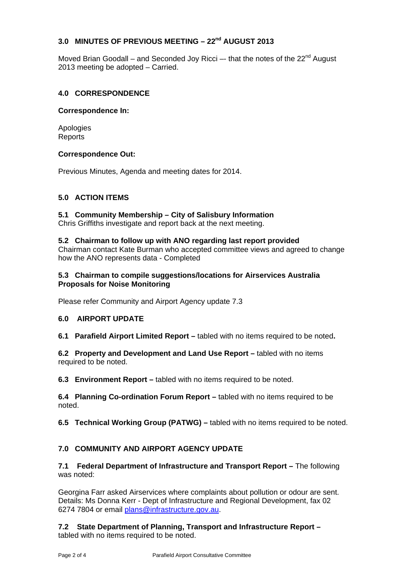# **3.0 MINUTES OF PREVIOUS MEETING – 22nd AUGUST 2013**

Moved Brian Goodall – and Seconded Jov Ricci –- that the notes of the  $22^{nd}$  August 2013 meeting be adopted – Carried.

### **4.0 CORRESPONDENCE**

### **Correspondence In:**

Apologies **Reports** 

### **Correspondence Out:**

Previous Minutes, Agenda and meeting dates for 2014.

### **5.0 ACTION ITEMS**

**5.1 Community Membership – City of Salisbury Information**  Chris Griffiths investigate and report back at the next meeting.

#### **5.2 Chairman to follow up with ANO regarding last report provided**

Chairman contact Kate Burman who accepted committee views and agreed to change how the ANO represents data - Completed

### **5.3 Chairman to compile suggestions/locations for Airservices Australia Proposals for Noise Monitoring**

Please refer Community and Airport Agency update 7.3

### **6.0 AIRPORT UPDATE**

**6.1 Parafield Airport Limited Report –** tabled with no items required to be noted**.** 

**6.2 Property and Development and Land Use Report –** tabled with no items required to be noted.

**6.3 Environment Report –** tabled with no items required to be noted.

**6.4 Planning Co-ordination Forum Report –** tabled with no items required to be noted.

**6.5 Technical Working Group (PATWG) –** tabled with no items required to be noted.

## **7.0 COMMUNITY AND AIRPORT AGENCY UPDATE**

**7.1 Federal Department of Infrastructure and Transport Report – The following** was noted:

Georgina Farr asked Airservices where complaints about pollution or odour are sent. Details: Ms Donna Kerr - Dept of Infrastructure and Regional Development, fax 02 6274 7804 or email plans@infrastructure.gov.au.

**7.2 State Department of Planning, Transport and Infrastructure Report –**  tabled with no items required to be noted.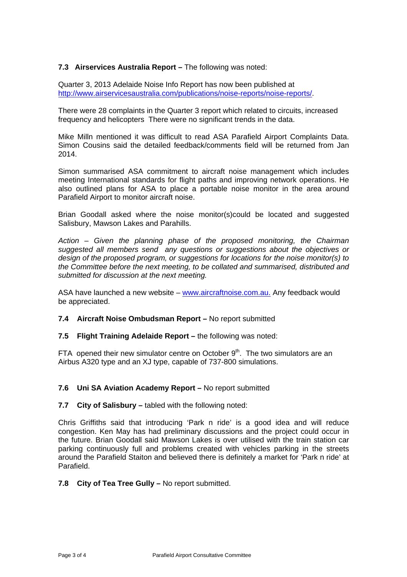### **7.3 Airservices Australia Report – The following was noted:**

Quarter 3, 2013 Adelaide Noise Info Report has now been published at http://www.airservicesaustralia.com/publications/noise-reports/noise-reports/.

There were 28 complaints in the Quarter 3 report which related to circuits, increased frequency and helicopters There were no significant trends in the data.

Mike Milln mentioned it was difficult to read ASA Parafield Airport Complaints Data. Simon Cousins said the detailed feedback/comments field will be returned from Jan 2014.

Simon summarised ASA commitment to aircraft noise management which includes meeting International standards for flight paths and improving network operations. He also outlined plans for ASA to place a portable noise monitor in the area around Parafield Airport to monitor aircraft noise.

Brian Goodall asked where the noise monitor(s)could be located and suggested Salisbury, Mawson Lakes and Parahills.

*Action – Given the planning phase of the proposed monitoring, the Chairman suggested all members send any questions or suggestions about the objectives or design of the proposed program, or suggestions for locations for the noise monitor(s) to the Committee before the next meeting, to be collated and summarised, distributed and submitted for discussion at the next meeting.* 

ASA have launched a new website - www.aircraftnoise.com.au. Any feedback would be appreciated.

### **7.4 Aircraft Noise Ombudsman Report –** No report submitted

**7.5 Flight Training Adelaide Report –** the following was noted:

FTA opened their new simulator centre on October  $9<sup>th</sup>$ . The two simulators are an Airbus A320 type and an XJ type, capable of 737-800 simulations.

#### **7.6 Uni SA Aviation Academy Report –** No report submitted

#### **7.7 City of Salisbury –** tabled with the following noted:

Chris Griffiths said that introducing 'Park n ride' is a good idea and will reduce congestion. Ken May has had preliminary discussions and the project could occur in the future. Brian Goodall said Mawson Lakes is over utilised with the train station car parking continuously full and problems created with vehicles parking in the streets around the Parafield Staiton and believed there is definitely a market for 'Park n ride' at Parafield.

### **7.8 City of Tea Tree Gully –** No report submitted.